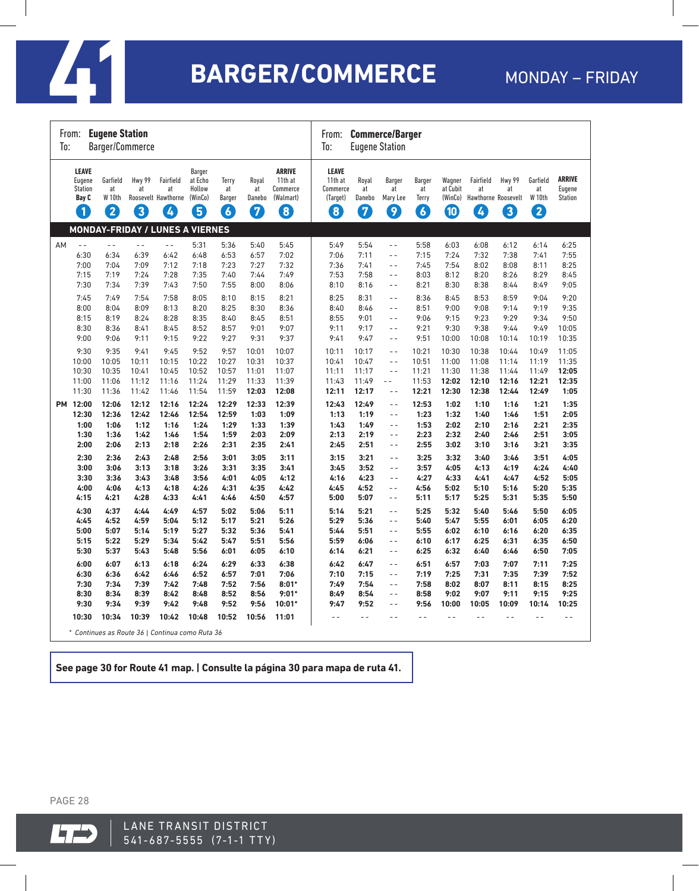

# **41 BARGER/COMMERCE**

|    | <b>Eugene Station</b><br>From:<br>Barger/Commerce<br>To:                                                                  |                                                                                                                 |                                                                                                                 |                                                                                                                 |                                                                                                                 |                                                                                                                 |                                                                                                                  |                                                                                                                  |                                                                                                                  | <b>Commerce/Barger</b><br>From:<br>To:<br><b>Eugene Station</b>                                                  |                                                                                                                                                                                        |                                                                                                                  |                                                                                                                   |                                                                                                                   |                                                                                                                   |                                                                                                                   |                                                                                                                    |  |  |
|----|---------------------------------------------------------------------------------------------------------------------------|-----------------------------------------------------------------------------------------------------------------|-----------------------------------------------------------------------------------------------------------------|-----------------------------------------------------------------------------------------------------------------|-----------------------------------------------------------------------------------------------------------------|-----------------------------------------------------------------------------------------------------------------|------------------------------------------------------------------------------------------------------------------|------------------------------------------------------------------------------------------------------------------|------------------------------------------------------------------------------------------------------------------|------------------------------------------------------------------------------------------------------------------|----------------------------------------------------------------------------------------------------------------------------------------------------------------------------------------|------------------------------------------------------------------------------------------------------------------|-------------------------------------------------------------------------------------------------------------------|-------------------------------------------------------------------------------------------------------------------|-------------------------------------------------------------------------------------------------------------------|-------------------------------------------------------------------------------------------------------------------|--------------------------------------------------------------------------------------------------------------------|--|--|
|    | <b>LEAVE</b><br>Eugene<br><b>Station</b><br>Bay C<br>$\blacksquare$                                                       | Garfield<br>at<br>W <sub>10th</sub><br>2                                                                        | Hwy 99<br>at<br>$\boxed{3}$                                                                                     | Fairfield<br>at<br>Roosevelt Hawthorne<br>$\overline{A}$                                                        | Barger<br>at Echo<br>Hollow<br>(WinCo)<br>5                                                                     | Terry<br>at<br><b>Barger</b><br>$\overline{6}$                                                                  | Royal<br>at<br>Danebo<br>7                                                                                       | <b>ARRIVE</b><br>11th at<br>Commerce<br>(Walmart)<br>$\left[ \textbf{8}\right]$                                  | <b>LEAVE</b><br>11th at<br>Commerce<br>(Target)<br>$\boxed{8}$                                                   | Royal<br>at<br>Danebo<br>7                                                                                       | <b>Barger</b><br>at<br>Mary Lee<br>9                                                                                                                                                   | <b>Barger</b><br>at<br>Terry<br>$\overline{6}$                                                                   | Wagner<br>at Cubit<br>(WinCo)<br>10                                                                               | Fairfield<br>at<br>$\bm{A}$                                                                                       | Hwy 99<br>at<br>Hawthorne Roosevelt<br>3                                                                          | Garfield<br>at<br><b>W</b> 10th<br>2                                                                              | <b>ARRIVE</b><br>Eugene<br><b>Station</b>                                                                          |  |  |
|    |                                                                                                                           |                                                                                                                 |                                                                                                                 | <b>MONDAY-FRIDAY / LUNES A VIERNES</b>                                                                          |                                                                                                                 |                                                                                                                 |                                                                                                                  |                                                                                                                  |                                                                                                                  |                                                                                                                  |                                                                                                                                                                                        |                                                                                                                  |                                                                                                                   |                                                                                                                   |                                                                                                                   |                                                                                                                   |                                                                                                                    |  |  |
| AM | $\overline{a}$<br>6:30<br>7:00<br>7:15<br>7:30<br>7:45<br>8:00<br>8:15<br>8:30<br>9:00<br>9:30<br>10:00<br>10:30<br>11:00 | $ -$<br>6:34<br>7:04<br>7:19<br>7:34<br>7:49<br>8:04<br>8:19<br>8:36<br>9:06<br>9:35<br>10:05<br>10:35<br>11:06 | $ -$<br>6:39<br>7:09<br>7:24<br>7:39<br>7:54<br>8:09<br>8:24<br>8:41<br>9:11<br>9:41<br>10:11<br>10:41<br>11:12 | $ -$<br>6:42<br>7:12<br>7:28<br>7:43<br>7:58<br>8:13<br>8:28<br>8:45<br>9:15<br>9:45<br>10:15<br>10:45<br>11:16 | 5:31<br>6:48<br>7:18<br>7:35<br>7:50<br>8:05<br>8:20<br>8:35<br>8:52<br>9:22<br>9:52<br>10:22<br>10:52<br>11:24 | 5:36<br>6:53<br>7:23<br>7:40<br>7:55<br>8:10<br>8:25<br>8:40<br>8:57<br>9:27<br>9:57<br>10:27<br>10:57<br>11:29 | 5:40<br>6:57<br>7:27<br>7:44<br>8:00<br>8:15<br>8:30<br>8:45<br>9:01<br>9:31<br>10:01<br>10:31<br>11:01<br>11:33 | 5:45<br>7:02<br>7:32<br>7:49<br>8:06<br>8:21<br>8:36<br>8:51<br>9:07<br>9:37<br>10:07<br>10:37<br>11:07<br>11:39 | 5:49<br>7:06<br>7:36<br>7:53<br>8:10<br>8:25<br>8:40<br>8:55<br>9:11<br>9:41<br>10:11<br>10:41<br>11:11<br>11:43 | 5:54<br>7:11<br>7:41<br>7:58<br>8:16<br>8:31<br>8:46<br>9:01<br>9:17<br>9:47<br>10:17<br>10:47<br>11:17<br>11:49 | $ -$<br>$\sim$ $\sim$<br>$\overline{a}$<br>$\sim$ $\sim$<br>$ -$<br>$\sim$ $\sim$<br>$\overline{a}$<br>$\overline{a}$<br>$ -$<br>$-$<br>$-$<br>$ -$<br>$\sim$ $\sim$<br>$\overline{a}$ | 5:58<br>7:15<br>7:45<br>8:03<br>8:21<br>8:36<br>8:51<br>9:06<br>9:21<br>9:51<br>10:21<br>10:51<br>11:21<br>11:53 | 6:03<br>7:24<br>7:54<br>8:12<br>8:30<br>8:45<br>9:00<br>9:15<br>9:30<br>10:00<br>10:30<br>11:00<br>11:30<br>12:02 | 6:08<br>7:32<br>8:02<br>8:20<br>8:38<br>8:53<br>9:08<br>9:23<br>9:38<br>10:08<br>10:38<br>11:08<br>11:38<br>12:10 | 6:12<br>7:38<br>8:08<br>8:26<br>8:44<br>8:59<br>9:14<br>9:29<br>9:44<br>10:14<br>10:44<br>11:14<br>11:44<br>12:16 | 6:14<br>7:41<br>8:11<br>8:29<br>8:49<br>9:04<br>9:19<br>9:34<br>9:49<br>10:19<br>10:49<br>11:19<br>11:49<br>12:21 | 6:25<br>7:55<br>8:25<br>8:45<br>9:05<br>9:20<br>9:35<br>9:50<br>10:05<br>10:35<br>11:05<br>11:35<br>12:05<br>12:35 |  |  |
|    | 11:30<br>PM 12:00<br>12:30<br>1:00<br>1:30<br>2:00                                                                        | 11:36<br>12:06<br>12:36<br>1:06<br>1:36<br>2:06                                                                 | 11:42<br>12:12<br>12:42<br>1:12<br>1:42<br>2:13                                                                 | 11:46<br>12:16<br>12:46<br>1:16<br>1:46<br>2:18                                                                 | 11:54<br>12:24<br>12:54<br>1:24<br>1:54<br>2:26                                                                 | 11:59<br>12:29<br>12:59<br>1:29<br>1:59<br>2:31                                                                 | 12:03<br>12:33<br>1:03<br>1:33<br>2:03<br>2:35                                                                   | 12:08<br>12:39<br>1:09<br>1:39<br>2:09<br>2:41                                                                   | 12:11<br>12:43<br>1:13<br>1:43<br>2:13<br>2:45                                                                   | 12:17<br>12:49<br>1:19<br>1:49<br>2:19<br>2:51                                                                   | $-$<br>$\overline{a}$<br>$\sim$ $\sim$<br>$-$<br>$-$<br>$ -$                                                                                                                           | 12:21<br>12:53<br>1:23<br>1:53<br>2:23<br>2:55                                                                   | 12:30<br>1:02<br>1:32<br>2:02<br>2:32<br>3:02                                                                     | 12:38<br>1:10<br>1:40<br>2:10<br>2:40<br>3:10                                                                     | 12:44<br>1:16<br>1:46<br>2:16<br>2:46<br>3:16                                                                     | 12:49<br>1:21<br>1:51<br>2:21<br>2:51<br>3:21                                                                     | 1:05<br>1:35<br>2:05<br>2:35<br>3:05<br>3:35                                                                       |  |  |
|    | 2:30<br>3:00<br>3:30<br>4:00<br>4:15<br>4:30<br>4:45<br>5:00<br>5:15<br>5:30<br>6:00                                      | 2:36<br>3:06<br>3:36<br>4:06<br>4:21<br>4:37<br>4:52<br>5:07<br>5:22<br>5:37<br>6:07                            | 2:43<br>3:13<br>3:43<br>4:13<br>4:28<br>4:44<br>4:59<br>5:14<br>5:29<br>5:43<br>6:13                            | 2:48<br>3:18<br>3:48<br>4:18<br>4:33<br>4:49<br>5:04<br>5:19<br>5:34<br>5:48<br>6:18                            | 2:56<br>3:26<br>3:56<br>4:26<br>4:41<br>4:57<br>5:12<br>5:27<br>5:42<br>5:56<br>6:24                            | 3:01<br>3:31<br>4:01<br>4:31<br>4:46<br>5:02<br>5:17<br>5:32<br>5:47<br>6:01<br>6:29                            | 3:05<br>3:35<br>4:05<br>4:35<br>4:50<br>5:06<br>5:21<br>5:36<br>5:51<br>6:05<br>6:33                             | 3:11<br>3:41<br>4:12<br>4:42<br>4:57<br>5:11<br>5:26<br>5:41<br>5:56<br>6:10<br>6:38                             | 3:15<br>3:45<br>4:16<br>4:45<br>5:00<br>5:14<br>5:29<br>5:44<br>5:59<br>6:14<br>6:42                             | 3:21<br>3:52<br>4:23<br>4:52<br>5:07<br>5:21<br>5:36<br>5:51<br>6:06<br>6:21<br>6:47                             | $\sim$ $\sim$<br>$ -$<br>$ -$<br>$ -$<br>$\sim$ $\sim$<br>$\overline{a}$<br>$\overline{a}$<br>$-$<br>$ -$<br>$ -$<br>$-$                                                               | 3:25<br>3:57<br>4:27<br>4:56<br>5:11<br>5:25<br>5:40<br>5:55<br>6:10<br>6:25<br>6:51                             | 3:32<br>4:05<br>4:33<br>5:02<br>5:17<br>5:32<br>5:47<br>6:02<br>6:17<br>6:32<br>6:57                              | 3:40<br>4:13<br>4:41<br>5:10<br>5:25<br>5:40<br>5:55<br>6:10<br>6:25<br>6:40<br>7:03                              | 3:46<br>4:19<br>4:47<br>5:16<br>5:31<br>5:46<br>6:01<br>6:16<br>6:31<br>6:46<br>7:07                              | 3:51<br>4:24<br>4:52<br>5:20<br>5:35<br>5:50<br>6:05<br>6:20<br>6:35<br>6:50<br>7:11                              | 4:05<br>4:40<br>5:05<br>5:35<br>5:50<br>6:05<br>6:20<br>6:35<br>6:50<br>7:05<br>7:25                               |  |  |
|    | 6:30<br>7:30<br>8:30<br>9:30<br>10:30                                                                                     | 6:36<br>7:34<br>8:34<br>9:34<br>10:34                                                                           | 6:42<br>7:39<br>8:39<br>9:39<br>10:39                                                                           | 6:46<br>7:42<br>8:42<br>9:42<br>10:42<br>* Continues as Route 36   Continua como Ruta 36                        | 6:52<br>7:48<br>8:48<br>9:48<br>10:48                                                                           | 6:57<br>7:52<br>8:52<br>9:52<br>10:52                                                                           | 7:01<br>7:56<br>8:56<br>9:56<br>10:56                                                                            | 7:06<br>$8:01*$<br>$9:01*$<br>$10:01*$<br>11:01                                                                  | 7:10<br>7:49<br>8:49<br>9:47                                                                                     | 7:15<br>7:54<br>8:54<br>9:52                                                                                     | $-$<br>$-$<br>$\overline{a}$<br>$-$                                                                                                                                                    | 7:19<br>7:58<br>8:58<br>9:56                                                                                     | 7:25<br>8:02<br>9:02<br>10:00                                                                                     | 7:31<br>8:07<br>9:07<br>10:05                                                                                     | 7:35<br>8:11<br>9:11<br>10:09                                                                                     | 7:39<br>8:15<br>9:15<br>10:14                                                                                     | 7:52<br>8:25<br>9:25<br>10:25                                                                                      |  |  |

**See page 30 for Route 41 map. | Consulte la página 30 para mapa de ruta 41.**

PAGE 28

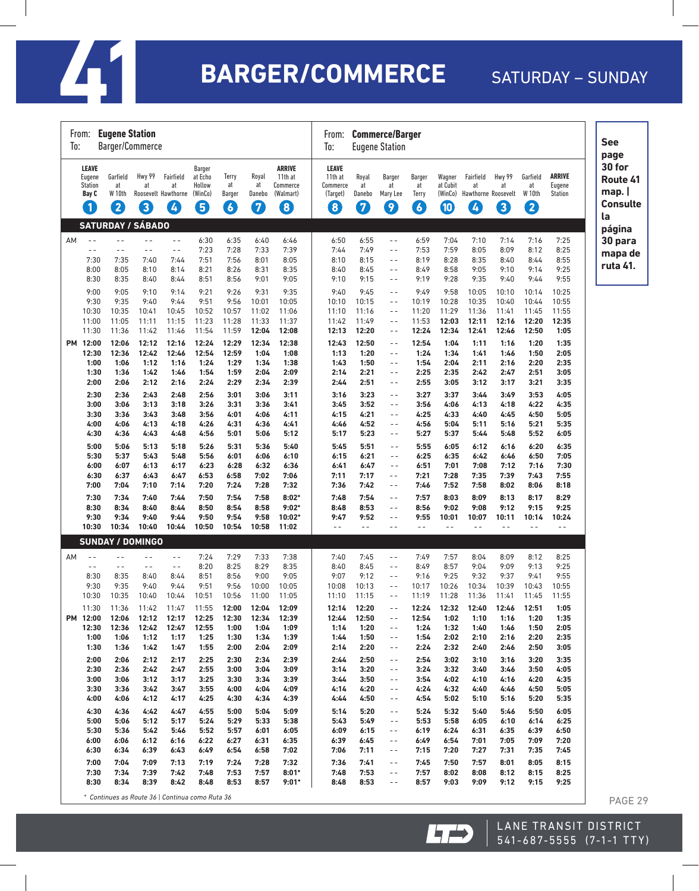

# $41$  **BARGER/COMMERCE**

### SATURDAY - SUNDAY

| <b>Eugene Station</b><br>From:<br>To:<br>Barger/Commerce |                                                                |                         |                                              |                                                    |                                                  |                            |                                                        | <b>Commerce/Barger</b><br>From:<br><b>Eugene Station</b><br>To: |                            |                                               |                                           |                                                      |                                             |                         |                                      |                                           | <b>See</b><br>page                                  |
|----------------------------------------------------------|----------------------------------------------------------------|-------------------------|----------------------------------------------|----------------------------------------------------|--------------------------------------------------|----------------------------|--------------------------------------------------------|-----------------------------------------------------------------|----------------------------|-----------------------------------------------|-------------------------------------------|------------------------------------------------------|---------------------------------------------|-------------------------|--------------------------------------|-------------------------------------------|-----------------------------------------------------|
| Eugene<br><b>Station</b><br>$\left  \mathbf{1} \right $  | LEAVE<br>Garfield<br>at<br>W 10th<br>Bay C<br>2                | Hwy 99<br>at<br>3       | Fairfield<br>at<br>Roosevelt Hawthorne<br>L, | <b>Barger</b><br>at Echo<br>Hollow<br>(WinCo)<br>6 | Terry<br>at<br><b>Barger</b><br>$\boldsymbol{6}$ | Royal<br>at<br>Danebo<br>0 | <b>ARRIVE</b><br>11th at<br>Commerce<br>(Walmart)<br>8 | <b>LEAVE</b><br>11th at<br>Commerce<br>(Target)<br>0            | Royal<br>at<br>Danebo<br>7 | <b>Barger</b><br>at<br>Mary Lee<br>9          | Barger<br>at<br>Terry<br>$\boldsymbol{6}$ | Wagner<br>at Cubit<br>(WinCo)<br>$\boldsymbol{\Phi}$ | Fairfield<br>at<br>Hawthorne Roosevelt<br>Ø | Hwy 99<br>at<br>8       | Garfield<br>at<br><b>W</b> 10th<br>2 | <b>ARRIVE</b><br>Eugene<br><b>Station</b> | 30 for<br>Route 41<br>map.<br><b>Consulte</b><br>la |
| AM                                                       | <b>SATURDAY / SÁBADO</b><br>$\omega$ $\omega$<br>$=$ $-$       | $=$ $=$                 | $\overline{a}$                               | 6:30                                               | 6:35                                             | 6:40                       | 6:46                                                   | 6:50                                                            | 6:55                       | $\overline{a}$                                | 6:59                                      | 7:04                                                 | 7:10                                        | 7:14                    | 7:16                                 | 7:25                                      | página<br>30 para                                   |
|                                                          | $\sim$ $\sim$<br>$\sim$ $\sim$<br>7:30<br>7:35<br>8:05<br>8:00 | $=$ $=$<br>7:40<br>8:10 | $\sim$ $\sim$<br>7:44<br>8:14                | 7:23<br>7:51<br>8:21                               | 7:28<br>7:56<br>8:26                             | 7:33<br>8:01<br>8:31       | 7:39<br>8:05<br>8:35                                   | 7:44<br>8:10<br>8:40                                            | 7:49<br>8:15<br>8:45       | $\equiv$ $\equiv$<br>$\sim$ $-$<br>$\sim$ $-$ | 7:53<br>8:19<br>8:49                      | 7:59<br>8:28<br>8:58                                 | 8:05<br>8:35<br>9:05                        | 8:09<br>8:40<br>9:10    | 8:12<br>8:44<br>9:14                 | 8:25<br>8:55<br>9:25                      | mapa de<br>ruta 41.                                 |
|                                                          | 8:30<br>8:35<br>9:00<br>9:05                                   | 8:40<br>9:10            | 8:44<br>9:14                                 | 8:51<br>9:21                                       | 8:56<br>9:26                                     | 9:01<br>9:31               | 9:05<br>9:35                                           | 9:10<br>9:40                                                    | 9:15<br>9:45               | $\sim$ $\sim$<br>$ -$                         | 9:19<br>9:49                              | 9:28<br>9:58                                         | 9:35<br>10:05                               | 9:40<br>10:10           | 9:44<br>10:14                        | 9:55<br>10:25                             |                                                     |
| 10:30<br>11:00                                           | 9:30<br>9:35<br>10:35<br>11:05                                 | 9:40<br>10:41<br>11:11  | 9:44<br>10:45<br>11:15                       | 9:51<br>10:52<br>11:23                             | 9:56<br>10:57<br>11:28                           | 10:01<br>11:02<br>11:33    | 10:05<br>11:06<br>11:37                                | 10:10<br>11:10<br>11:42                                         | 10:15<br>11:16<br>11:49    | - -<br>- -<br>$\sim$ $\sim$                   | 10:19<br>11:20<br>11:53                   | 10:28<br>11:29<br>12:03                              | 10:35<br>11:36<br>12:11                     | 10:40<br>11:41<br>12:16 | 10:44<br>11:45<br>12:20              | 10:55<br>11:55<br>12:35                   |                                                     |
| 11:30<br>PM 12:00                                        | 11:36<br>12:06                                                 | 11:42<br>12:12          | 11:46<br>12:16                               | 11:54<br>12:24                                     | 11:59<br>12:29                                   | 12:04<br>12:34             | 12:08<br>12:38                                         | 12:13<br>12:43                                                  | 12:20<br>12:50             | $ -$<br>$ -$                                  | 12:24<br>12:54                            | 12:34<br>1:04                                        | 12:41<br>1:11                               | 12:46<br>1:16           | 12:50<br>1:20                        | 1:05<br>1:35                              |                                                     |
|                                                          | 12:30<br>12:36<br>1:00<br>1:06<br>1:30<br>1:36                 | 12:42<br>1:12<br>1:42   | 12:46<br>1:16<br>1:46                        | 12:54<br>1:24<br>1:54                              | 12:59<br>1:29<br>1:59                            | 1:04<br>1:34<br>2:04       | 1:08<br>1:38<br>2:09                                   | 1:13<br>1:43<br>2:14                                            | 1:20<br>1:50<br>2:21       | $ -$<br>$ -$<br>$ -$                          | 1:24<br>1:54<br>2:25                      | 1:34<br>2:04<br>2:35                                 | 1:41<br>2:11<br>2:42                        | 1:46<br>2:16<br>2:47    | 1:50<br>2:20<br>2:51                 | 2:05<br>2:35<br>3:05                      |                                                     |
|                                                          | 2:00<br>2:06<br>2:36<br>2:30                                   | 2:12<br>2:43            | 2:16<br>2:48                                 | 2:24<br>2:56                                       | 2:29<br>3:01                                     | 2:34<br>3:06               | 2:39<br>3:11                                           | 2:44<br>3:16                                                    | 2:51<br>3:23               | $ -$<br>$\sim$ $\sim$                         | 2:55<br>3:27                              | 3:05<br>3:37                                         | 3:12<br>3:44                                | 3:17<br>3:49            | 3:21<br>3:53                         | 3:35<br>4:05                              |                                                     |
|                                                          | 3:00<br>3:06<br>3:30<br>3:36<br>4:00<br>4:06                   | 3:13<br>3:43<br>4:13    | 3:18<br>3:48<br>4:18                         | 3:26<br>3:56<br>4:26                               | 3:31<br>4:01<br>4:31                             | 3:36<br>4:06<br>4:36       | 3:41<br>4:11<br>4:41                                   | 3:45<br>4:15<br>4:46                                            | 3:52<br>4:21<br>4:52       | $ -$<br>$ -$<br>$ -$                          | 3:56<br>4:25<br>4:56                      | 4:06<br>4:33<br>5:04                                 | 4:13<br>4:40<br>5:11                        | 4:18<br>4:45<br>5:16    | 4:22<br>4:50<br>5:21                 | 4:35<br>5:05<br>5:35                      |                                                     |
|                                                          | 4:30<br>4:36<br>5:00<br>5:06                                   | 4:43<br>5:13            | 4:48<br>5:18                                 | 4:56<br>5:26                                       | 5:01<br>5:31                                     | 5:06<br>5:36               | 5:12<br>5:40                                           | 5:17<br>5:45                                                    | 5:23<br>5:51               | $ -$<br>$\sim$ $\sim$                         | 5:27<br>5:55                              | 5:37<br>6:05                                         | 5:44<br>6:12                                | 5:48<br>6:16            | 5:52<br>6:20                         | 6:05<br>6:35                              |                                                     |
|                                                          | 5:30<br>5:37<br>6:00<br>6:07                                   | 5:43<br>6:13            | 5:48<br>6:17                                 | 5:56<br>6:23                                       | 6:01<br>6:28                                     | 6:06<br>6:32               | 6:10<br>6:36                                           | 6:15<br>6:41                                                    | 6:21<br>6:47               | $\overline{\phantom{a}}$<br>$ -$              | 6:25<br>6:51                              | 6:35<br>7:01                                         | 6:42<br>7:08                                | 6:46<br>7:12            | 6:50<br>7:16                         | 7:05<br>7:30                              |                                                     |
|                                                          | 6:30<br>6:37<br>7:00<br>7:04                                   | 6:43<br>7:10            | 6:47<br>7:14                                 | 6:53<br>7:20                                       | 6:58<br>7:24                                     | 7:02<br>7:28               | 7:06<br>7:32                                           | 7:11<br>7:36                                                    | 7:17<br>7:42               | $ -$<br>$\overline{\phantom{a}}$              | 7:21<br>7:46                              | 7:28<br>7:52                                         | 7:35<br>7:58                                | 7:39<br>8:02            | 7:43<br>8:06                         | 7:55<br>8:18                              |                                                     |
|                                                          | 7:30<br>7:34<br>8:30<br>8:34<br>9:30<br>9:34                   | 7:40<br>8:40<br>9:40    | 7:44<br>8:44<br>9:44                         | 7:50<br>8:50<br>9:50                               | 7:54<br>8:54<br>9:54                             | 7:58<br>8:58<br>9:58       | $8:02*$<br>$9:02*$<br>10:02*                           | 7:48<br>8:48<br>9:47                                            | 7:54<br>8:53<br>9:52       | $ -$<br>$\sim$ $-$<br>- -                     | 7:57<br>8:56<br>9:55                      | 8:03<br>9:02<br>10:01                                | 8:09<br>9:08<br>10:07                       | 8:13<br>9:12<br>10:11   | 8:17<br>9:15<br>10:14                | 8:29<br>9:25<br>10:24                     |                                                     |
|                                                          | 10:30<br>10:34                                                 | 10:40                   | 10:44                                        | 10:50                                              | 10:54                                            | 10:58                      | 11:02                                                  | $\sim$ $\sim$                                                   | $\sim$ $\sim$              | $\omega$ $\omega$                             | $\sim$ $\sim$                             | $=$ $=$                                              | $\sim$ $\sim$                               | $\omega$ $\omega$       | $=$ $=$                              | $\sim$ $\sim$                             |                                                     |
| AM                                                       | <b>SUNDAY / DOMINGO</b><br>$ -$                                | $=$ $-$                 | $\sim$ $\sim$                                | 7:24                                               | 7:29                                             | 7:33                       | 7:38                                                   | 7:40                                                            | 7:45                       | $\sim$ $\sim$                                 | 7:49                                      | 7:57                                                 | 8:04                                        | 8:09                    | 8:12                                 | 8:25                                      |                                                     |
|                                                          | $\sim$ $\sim$<br>$\sim$ $\sim$<br>8:30<br>8:35<br>9:35<br>9:30 | $ -$<br>8:40<br>9:40    | $\sim$ $\sim$<br>8:44<br>9:44                | 8:20<br>8:51<br>9:51                               | 8:25<br>8:56<br>9:56                             | 8:29<br>9:00<br>10:00      | 8:35<br>9:05<br>10:05                                  | 8:40<br>9:07<br>10:08                                           | 8:45<br>9:12<br>10:13      | $\overline{a}$<br>$\sim$ $\sim$<br>$\sim$ $-$ | 8:49<br>9:16<br>10:17                     | 8:57<br>9:25<br>10:26                                | 9:04<br>9:32<br>10:34                       | 9:09<br>9:37<br>10:39   | 9:13<br>9:41<br>10:43                | 9:25<br>9:55<br>10:55                     |                                                     |
| 10:30                                                    | 10:35<br>11:30<br>11:36                                        | 10:40<br>11:42          | 10:44<br>11:47                               | 10:51<br>11:55                                     | 10:56<br>12:00                                   | 11:00<br>12:04             | 11:05<br>12:09                                         | 11:10<br>12:14                                                  | 11:15<br>12:20             | $ -$<br>$\sim$ $-$                            | 11:19<br>12:24                            | 11:28<br>12:32                                       | 11:36<br>12:40                              | 11:41<br>12:46          | 11:45<br>12:51                       | 11:55<br>1:05                             |                                                     |
| PM 12:00                                                 | 12:06<br>12:30<br>12:36                                        | 12:12<br>12:42          | 12:17<br>12:47                               | 12:25<br>12:55                                     | 12:30<br>1:00                                    | 12:34<br>1:04              | 12:39<br>1:09                                          | 12:44<br>1:14                                                   | 12:50<br>1:20              | $\sim$ $-$<br>$\sim$ $-$                      | 12:54<br>1:24                             | 1:02<br>1:32                                         | 1:10<br>1:40                                | 1:16<br>1:46            | 1:20<br>1:50                         | 1:35<br>2:05                              |                                                     |
|                                                          | 1:00<br>1:06<br>1:30<br>1:36                                   | 1:12<br>1:42            | 1:17<br>1:47                                 | 1:25<br>1:55                                       | 1:30<br>2:00                                     | 1:34<br>2:04               | 1:39<br>2:09                                           | 1:44<br>2:14                                                    | 1:50<br>2:20               | $\sim$ $\sim$<br>- -                          | 1:54<br>2:24                              | 2:02<br>2:32                                         | 2:10<br>2:40                                | 2:16<br>2:46            | 2:20<br>2:50                         | 2:35<br>3:05                              |                                                     |
|                                                          | 2:00<br>2:06<br>2:30<br>2:36                                   | 2:12<br>2:42            | 2:17<br>2:47                                 | 2:25<br>2:55                                       | 2:30<br>3:00                                     | 2:34<br>3:04               | 2:39<br>3:09                                           | 2:44<br>3:14                                                    | 2:50<br>3:20               | - -<br>$ -$                                   | 2:54<br>3:24                              | 3:02<br>3:32                                         | 3:10<br>3:40                                | 3:16<br>3:46            | 3:20<br>3:50                         | 3:35<br>4:05                              |                                                     |
|                                                          | 3:00<br>3:06<br>3:30<br>3:36                                   | 3:12<br>3:42            | 3:17<br>3:47                                 | 3:25<br>3:55                                       | 3:30<br>4:00                                     | 3:34<br>4:04               | 3:39<br>4:09                                           | 3:44<br>4:14                                                    | 3:50<br>4:20               | $ -$<br>$ -$                                  | 3:54<br>4:24                              | 4:02<br>4:32                                         | 4:10<br>4:40                                | 4:16<br>4:46            | 4:20<br>4:50                         | 4:35<br>5:05                              |                                                     |
|                                                          | 4:00<br>4:06<br>4:30<br>4:36                                   | 4:12<br>4:42            | 4:17<br>4:47                                 | 4:25<br>4:55                                       | 4:30<br>5:00                                     | 4:34<br>5:04               | 4:39<br>5:09                                           | 4:44<br>5:14                                                    | 4:50<br>5:20               | - -<br>$ -$                                   | 4:54<br>5:24                              | 5:02<br>5:32                                         | 5:10<br>5:40                                | 5:16<br>5:46            | 5:20<br>5:50                         | 5:35<br>6:05                              |                                                     |
|                                                          | 5:00<br>5:06<br>5:30<br>5:36                                   | 5:12<br>5:42            | 5:17<br>5:46                                 | 5:24<br>5:52                                       | 5:29<br>5:57                                     | 5:33<br>6:01               | 5:38<br>6:05                                           | 5:43<br>6:09                                                    | 5:49<br>6:15               | $\overline{\phantom{a}}$<br>$ -$              | 5:53<br>6:19                              | 5:58<br>6:24                                         | 6:05<br>6:31                                | 6:10<br>6:35            | 6:14<br>6:39                         | 6:25<br>6:50                              |                                                     |
|                                                          | 6:00<br>6:06<br>6:30<br>6:34                                   | 6:12<br>6:39            | 6:16<br>6:43                                 | 6:22<br>6:49                                       | 6:27<br>6:54                                     | 6:31<br>6:58               | 6:35<br>7:02                                           | 6:39<br>7:06                                                    | 6:45<br>7:11               | $ -$<br>$-$ -                                 | 6:49<br>7:15                              | 6:54<br>7:20                                         | 7:01<br>7:27                                | 7:05<br>7:31            | 7:09<br>7:35                         | 7:20<br>7:45                              |                                                     |
|                                                          | 7:00<br>7:04<br>7:30<br>7:34<br>8:30<br>8:34                   | 7:09<br>7:39<br>8:39    | 7:13<br>7:42<br>8:42                         | 7:19<br>7:48<br>8:48                               | 7:24<br>7:53<br>8:53                             | 7:28<br>7:57<br>8:57       | 7:32<br>$8:01*$<br>$9:01*$                             | 7:36<br>7:48<br>8:48                                            | 7:41<br>7:53<br>8:53       | $\sim$ $-$<br>$\sim$ $-$<br>$\sim$ $-$        | 7:45<br>7:57<br>8:57                      | 7:50<br>8:02<br>9:03                                 | 7:57<br>8:08<br>9:09                        | 8:01<br>8:12<br>9:12    | 8:05<br>8:15<br>9:15                 | 8:15<br>8:25<br>9:25                      |                                                     |

*\* Continues as Route 36 | Continua como Ruta 36*



541-687-5555 (7-1-1 T T Y )

PAGE 29